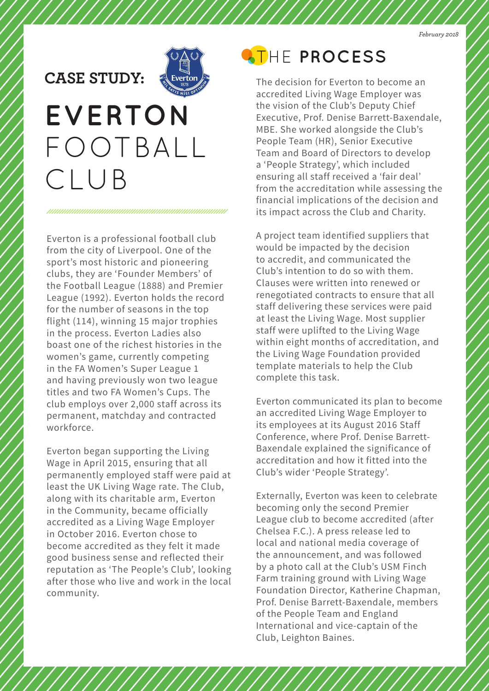### **CASE STUDY:**



////////////////////

# **EVERTON**  FOOTBALL CLUB

Everton is a professional football club from the city of Liverpool. One of the sport's most historic and pioneering clubs, they are 'Founder Members' of the Football League (1888) and Premier League (1992). Everton holds the record for the number of seasons in the top flight (114), winning 15 major trophies in the process. Everton Ladies also boast one of the richest histories in the women's game, currently competing in the FA Women's Super League 1 and having previously won two league titles and two FA Women's Cups. The club employs over 2,000 staff across its permanent, matchday and contracted workforce.

Everton began supporting the Living Wage in April 2015, ensuring that all permanently employed staff were paid at least the UK Living Wage rate. The Club, along with its charitable arm, Everton in the Community, became officially accredited as a Living Wage Employer in October 2016. Everton chose to become accredited as they felt it made good business sense and reflected their reputation as 'The People's Club', looking after those who live and work in the local community.

### **ATHE PROCESS**

The decision for Everton to become an accredited Living Wage Employer was the vision of the Club's Deputy Chief Executive, Prof. Denise Barrett-Baxendale, MBE. She worked alongside the Club's People Team (HR), Senior Executive Team and Board of Directors to develop a 'People Strategy', which included ensuring all staff received a 'fair deal' from the accreditation while assessing the financial implications of the decision and its impact across the Club and Charity.

A project team identified suppliers that would be impacted by the decision to accredit, and communicated the Club's intention to do so with them. Clauses were written into renewed or renegotiated contracts to ensure that all staff delivering these services were paid at least the Living Wage. Most supplier staff were uplifted to the Living Wage within eight months of accreditation, and the Living Wage Foundation provided template materials to help the Club complete this task.

Everton communicated its plan to become an accredited Living Wage Employer to its employees at its August 2016 Staff Conference, where Prof. Denise Barrett-Baxendale explained the significance of accreditation and how it fitted into the Club's wider 'People Strategy'.

Externally, Everton was keen to celebrate becoming only the second Premier League club to become accredited (after Chelsea F.C.). A press release led to local and national media coverage of the announcement, and was followed by a photo call at the Club's USM Finch Farm training ground with Living Wage Foundation Director, Katherine Chapman, Prof. Denise Barrett-Baxendale, members of the People Team and England International and vice-captain of the Club, Leighton Baines.